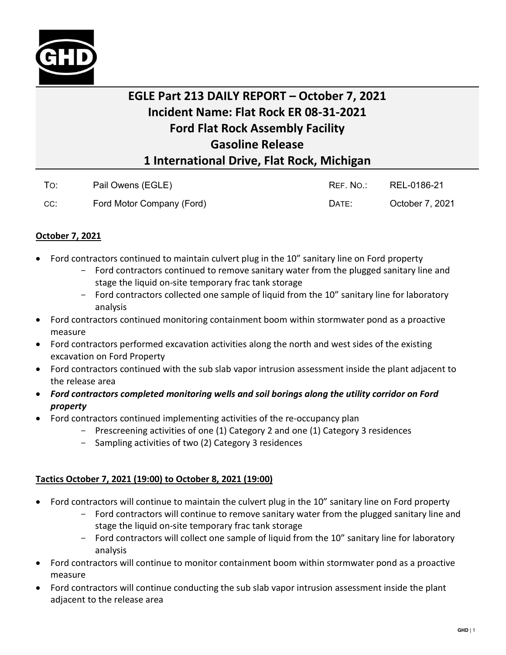

## **EGLE Part 213 DAILY REPORT – October 7, 2021 Incident Name: Flat Rock ER 08-31-2021 Ford Flat Rock Assembly Facility Gasoline Release 1 International Drive, Flat Rock, Michigan**

| To: | Pail Owens (EGLE)         | REF. NO.: | REL-0186-21     |
|-----|---------------------------|-----------|-----------------|
| CC: | Ford Motor Company (Ford) | DATE:     | October 7, 2021 |

## **October 7, 2021**

- Ford contractors continued to maintain culvert plug in the 10" sanitary line on Ford property
	- Ford contractors continued to remove sanitary water from the plugged sanitary line and stage the liquid on-site temporary frac tank storage
	- Ford contractors collected one sample of liquid from the 10" sanitary line for laboratory analysis
- Ford contractors continued monitoring containment boom within stormwater pond as a proactive measure
- Ford contractors performed excavation activities along the north and west sides of the existing excavation on Ford Property
- Ford contractors continued with the sub slab vapor intrusion assessment inside the plant adjacent to the release area
- *Ford contractors completed monitoring wells and soil borings along the utility corridor on Ford property*
- Ford contractors continued implementing activities of the re-occupancy plan
	- Prescreening activities of one (1) Category 2 and one (1) Category 3 residences
	- Sampling activities of two (2) Category 3 residences

## **Tactics October 7, 2021 (19:00) to October 8, 2021 (19:00)**

- Ford contractors will continue to maintain the culvert plug in the 10" sanitary line on Ford property
	- Ford contractors will continue to remove sanitary water from the plugged sanitary line and stage the liquid on-site temporary frac tank storage
	- Ford contractors will collect one sample of liquid from the 10" sanitary line for laboratory analysis
- Ford contractors will continue to monitor containment boom within stormwater pond as a proactive measure
- Ford contractors will continue conducting the sub slab vapor intrusion assessment inside the plant adjacent to the release area